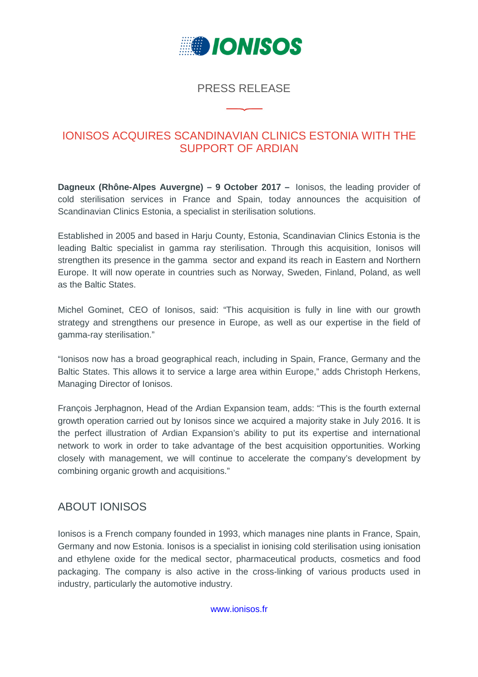

## PRESS RELEASE

## IONISOS ACQUIRES SCANDINAVIAN CLINICS ESTONIA WITH THE SUPPORT OF ARDIAN

**Dagneux (Rhône-Alpes Auvergne) – 9 October 2017 –** Ionisos, the leading provider of cold sterilisation services in France and Spain, today announces the acquisition of Scandinavian Clinics Estonia, a specialist in sterilisation solutions.

Established in 2005 and based in Harju County, Estonia, Scandinavian Clinics Estonia is the leading Baltic specialist in gamma ray sterilisation. Through this acquisition, Ionisos will strengthen its presence in the gamma sector and expand its reach in Eastern and Northern Europe. It will now operate in countries such as Norway, Sweden, Finland, Poland, as well as the Baltic States.

Michel Gominet, CEO of Ionisos, said: "This acquisition is fully in line with our growth strategy and strengthens our presence in Europe, as well as our expertise in the field of gamma-ray sterilisation."

"Ionisos now has a broad geographical reach, including in Spain, France, Germany and the Baltic States. This allows it to service a large area within Europe," adds Christoph Herkens, Managing Director of Ionisos.

François Jerphagnon, Head of the Ardian Expansion team, adds: "This is the fourth external growth operation carried out by Ionisos since we acquired a majority stake in July 2016. It is the perfect illustration of Ardian Expansion's ability to put its expertise and international network to work in order to take advantage of the best acquisition opportunities. Working closely with management, we will continue to accelerate the company's development by combining organic growth and acquisitions."

## ABOUT IONISOS

Ionisos is a French company founded in 1993, which manages nine plants in France, Spain, Germany and now Estonia. Ionisos is a specialist in ionising cold sterilisation using ionisation and ethylene oxide for the medical sector, pharmaceutical products, cosmetics and food packaging. The company is also active in the cross-linking of various products used in industry, particularly the automotive industry.